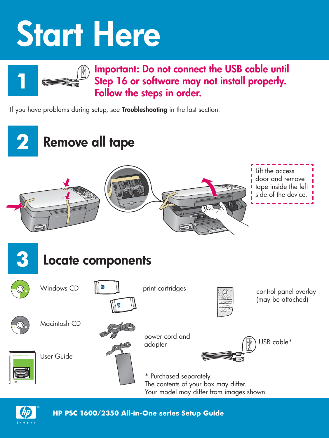# **Start Here**



### **Important: Do not connect the USB cable until Step 16 or software may not install properly. Follow the steps in order.**

If you have problems during setup, see **Troubleshooting** in the last section.





**HP PSC 1600/2350 All-in-One series Setup Guide**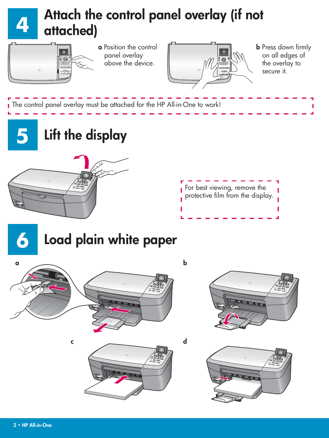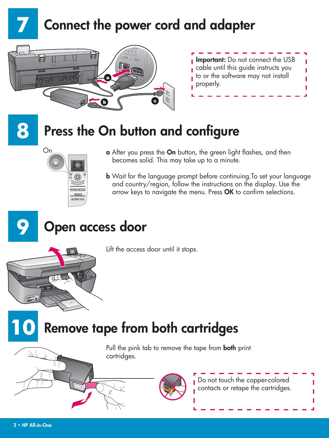### **Connect the power cord and adapter**



| <b>Important:</b> Do not connect the USB |  |
|------------------------------------------|--|
| cable until this quide instructs you     |  |
| to or the software may not install       |  |
| properly.                                |  |

## **8**

**7**

### **Press the On button and configure**



- **a** After you press the **On** button, the green light flashes, and then becomes solid. This may take up to a minute.
- **b** Wait for the language prompt before continuing.To set your language and country/region, follow the instructions on the display. Use the arrow keys to navigate the menu. Press OK to confirm selections.



**10**

### **Open access door**

Lift the access door until it stops.

### **Remove tape from both cartridges**

Pull the pink tab to remove the tape from **both** print cartridges.



Do not touch the copper-colored contacts or retape the cartridges.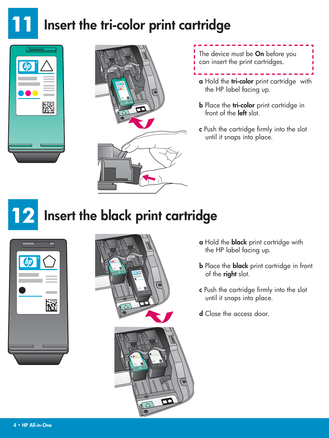







- **a** Hold the **tri-color** print cartridge with the HP label facing up.
- **b** Place the **tri-color** print cartridge in front of the **left** slot.
- **c** Push the cartridge firmly into the slot until it snaps into place.

## **Insert the black print cartridge**





- **a** Hold the **black** print cartridge with the HP label facing up.
- **b** Place the **black** print cartridge in front of the **right** slot.
- **c** Push the cartridge firmly into the slot until it snaps into place.
- **d** Close the access door.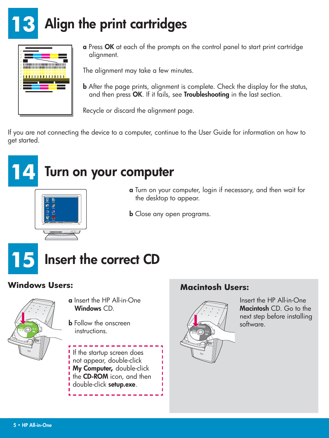### **13 Align the print cartridges**



**a** Press **OK** at each of the prompts on the control panel to start print cartridge alignment.

The alignment may take a few minutes.

**b** After the page prints, alignment is complete. Check the display for the status, and then press **OK** . If it fails, see **Troubleshooting** in the last section.

Recycle or discard the alignment page.

If you are not connecting the device to a computer, continue to the User Guide for information on how to get started.

#### **14 Turn on your computer**

- **a** Turn on your computer, login if necessary, and then wait for the desktop to appear.
- **b** Close any open programs.





**a** Insert the HP All-in-One **Windows** CD.

**b** Follow the onscreen instructions.

If the startup screen does not appear, double-click **My Computer,** double-click the **CD-ROM** icon, and then double-click **setup.exe** .

#### **Windows Users: Macintosh Users:**



Insert the HP All-in-One **Macintosh** CD. Go to the next step before installing software.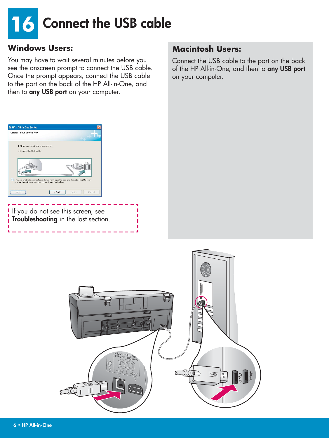

You may have to wait several minutes before you see the onscreen prompt to connect the USB cable. Once the prompt appears, connect the USB cable to the port on the back of the HP All-in-One, and then to **any USB port** on your computer.

#### **Windows Users: Macintosh Users: Macintosh Users:**

Connect the USB cable to the port on the back of the HP All-in-One, and then to **any USB port** on your computer.



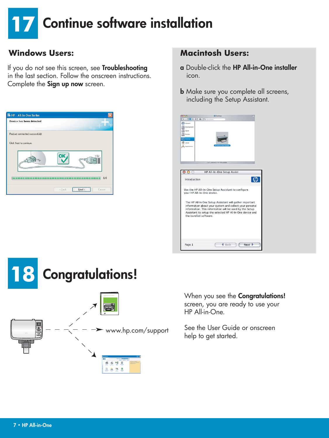### **17 Continue software installation**

If you do not see this screen, see **Troubleshooting**  in the last section. Follow the onscreen instructions. Complete the **Sign up now** screen.



#### **Windows Users:** Macintosh Users:

- **a** Double-click the **HP All-in-One installer**  icon.
- **b** Make sure you complete all screens, including the Setup Assistant.





When you see the **Congratulations!** screen, you are ready to use your HP All-in-One.

See the User Guide or onscreen help to get started.